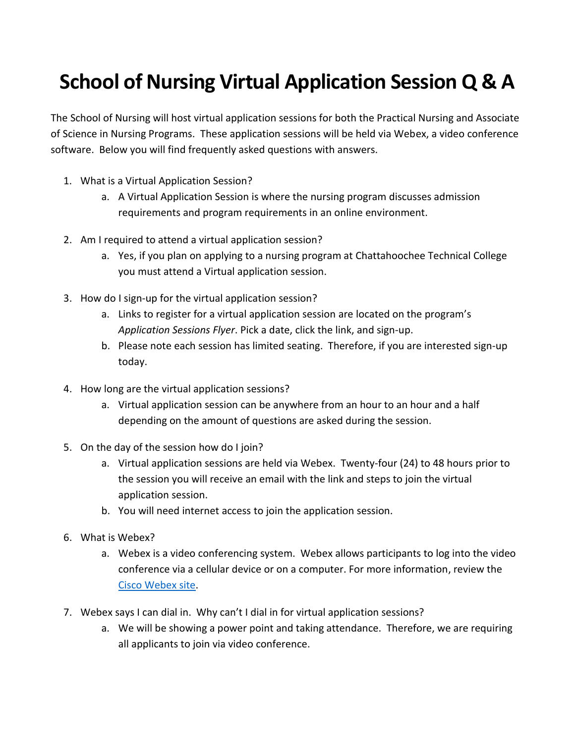## **School of Nursing Virtual Application Session Q & A**

The School of Nursing will host virtual application sessions for both the Practical Nursing and Associate of Science in Nursing Programs. These application sessions will be held via Webex, a video conference software. Below you will find frequently asked questions with answers.

- 1. What is a Virtual Application Session?
	- a. A Virtual Application Session is where the nursing program discusses admission requirements and program requirements in an online environment.
- 2. Am I required to attend a virtual application session?
	- a. Yes, if you plan on applying to a nursing program at Chattahoochee Technical College you must attend a Virtual application session.
- 3. How do I sign-up for the virtual application session?
	- a. Links to register for a virtual application session are located on the program's *Application Sessions Flyer*. Pick a date, click the link, and sign-up.
	- b. Please note each session has limited seating. Therefore, if you are interested sign-up today.
- 4. How long are the virtual application sessions?
	- a. Virtual application session can be anywhere from an hour to an hour and a half depending on the amount of questions are asked during the session.
- 5. On the day of the session how do I join?
	- a. Virtual application sessions are held via Webex. Twenty-four (24) to 48 hours prior to the session you will receive an email with the link and steps to join the virtual application session.
	- b. You will need internet access to join the application session.
- 6. What is Webex?
	- a. Webex is a video conferencing system. Webex allows participants to log into the video conference via a cellular device or on a computer. For more information, review the [Cisco Webex site.](https://www.webex.com/video-conferencing)
- 7. Webex says I can dial in. Why can't I dial in for virtual application sessions?
	- a. We will be showing a power point and taking attendance. Therefore, we are requiring all applicants to join via video conference.